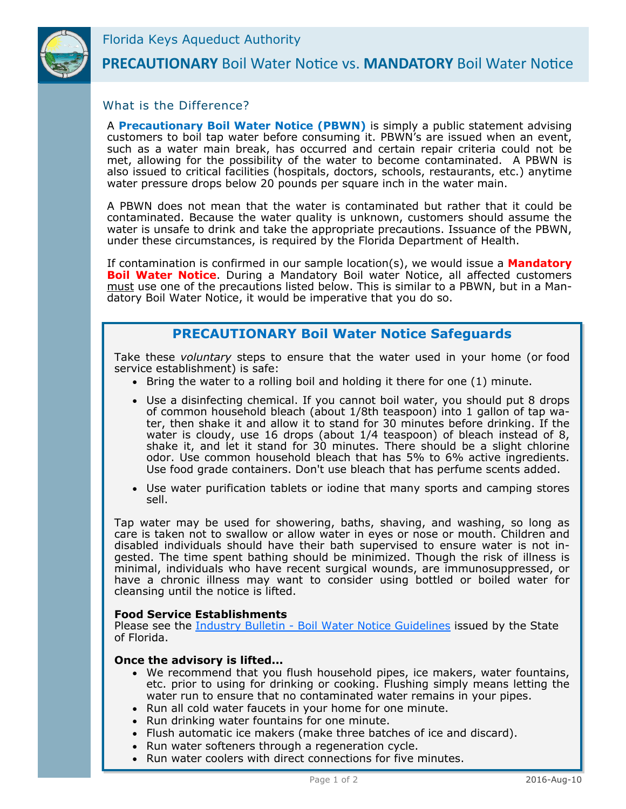



# **PRECAUTIONARY** Boil Water Notice vs. **MANDATORY** Boil Water Notice

### What is the Difference?

A **Precautionary Boil Water Notice (PBWN)** is simply a public statement advising customers to boil tap water before consuming it. PBWN's are issued when an event, such as a water main break, has occurred and certain repair criteria could not be met, allowing for the possibility of the water to become contaminated. A PBWN is also issued to critical facilities (hospitals, doctors, schools, restaurants, etc.) anytime water pressure drops below 20 pounds per square inch in the water main.

A PBWN does not mean that the water is contaminated but rather that it could be contaminated. Because the water quality is unknown, customers should assume the water is unsafe to drink and take the appropriate precautions. Issuance of the PBWN, under these circumstances, is required by the Florida Department of Health.

If contamination is confirmed in our sample location(s), we would issue a **Mandatory Boil Water Notice**. During a Mandatory Boil water Notice, all affected customers must use one of the precautions listed below. This is similar to a PBWN, but in a Mandatory Boil Water Notice, it would be imperative that you do so.

### **PRECAUTIONARY Boil Water Notice Safeguards**

Take these *voluntary* steps to ensure that the water used in your home (or food service establishment) is safe:

- Bring the water to a rolling boil and holding it there for one (1) minute.
- Use a disinfecting chemical. If you cannot boil water, you should put 8 drops of common household bleach (about 1/8th teaspoon) into 1 gallon of tap water, then shake it and allow it to stand for 30 minutes before drinking. If the water is cloudy, use 16 drops (about 1/4 teaspoon) of bleach instead of 8, shake it, and let it stand for 30 minutes. There should be a slight chlorine odor. Use common household bleach that has 5% to 6% active ingredients. Use food grade containers. Don't use bleach that has perfume scents added.
- Use water purification tablets or iodine that many sports and camping stores sell.

Tap water may be used for showering, baths, shaving, and washing, so long as care is taken not to swallow or allow water in eyes or nose or mouth. Children and disabled individuals should have their bath supervised to ensure water is not ingested. The time spent bathing should be minimized. Though the risk of illness is minimal, individuals who have recent surgical wounds, are immunosuppressed, or have a chronic illness may want to consider using bottled or boiled water for cleansing until the notice is lifted.

### **Food Service Establishments**

Please see the Industry Bulletin - [Boil Water Notice Guidelines i](https://fkaa.blob.core.windows.net/linkdocs/IndustryBoilWaterNoticeGuidelines.pdf)ssued by the State of Florida.

#### **Once the advisory is lifted...**

- We recommend that you flush household pipes, ice makers, water fountains, etc. prior to using for drinking or cooking. Flushing simply means letting the water run to ensure that no contaminated water remains in your pipes.
- Run all cold water faucets in your home for one minute.
- Run drinking water fountains for one minute.
- Flush automatic ice makers (make three batches of ice and discard).
- Run water softeners through a regeneration cycle.
- Run water coolers with direct connections for five minutes.